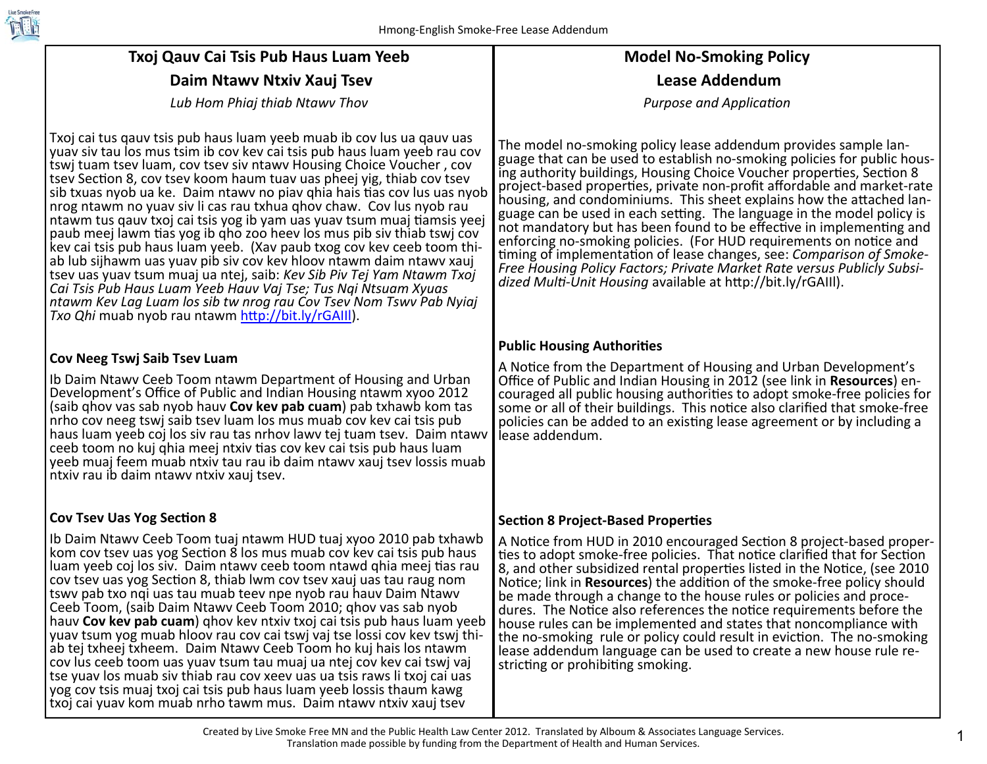

# **Txoj Qauv Cai Tsis Pub Haus Luam Yeeb Daim Ntawv Ntxiv Xauj Tsev**

*Lub Hom Phiaj thiab Ntawv Thov* 

Txoj cai tus qauv tsis pub haus luam yeeb muab ib cov lus ua qauv uas yuav siv tau los mus tsim ib cov kev cai tsis pub haus luam yeeb rau cov tswj tuam tsev luam, cov tsev siv ntawv Housing Choice Voucher , cov tsev Sec Ɵon 8, cov tsev koom haum tuav uas pheej yig, thiab cov tsev sib txuas nyob ua ke. Daim ntawv no piav qhia hais tias cov lus uas nyob nrog ntawm no yuav siv li cas rau txhua qhov chaw. Cov lus nyob rau ntawm tus qauv txoj cai tsis yog ib yam uas yuav tsum muaj tiamsis yeej paub meej lawm tias yog ib qho zoo heev los mus pib siv thiab tswj cov kev cai tsis pub haus luam yeeb. (Xav paub txog cov kev ceeb toom thi‐ ab lub sijhawm uas yuav pib siv cov kev hloov ntawm daim ntawv xauj tsev uas yuav tsum muaj ua ntej, saib: *Kev Sib Piv Tej Yam Ntawm Txoj Cai Tsis Pub Haus Luam Yeeb Hauv Vaj Tse; Tus Nqi Ntsuam Xyuas ntawm Kev Lag Luam los sib tw nrog rau Cov Tsev Nom Tswv Pab Nyiaj Txo Qhi* muab nyob rau ntawm <u>http://bit.ly/rGAIII</u>).

#### **Cov Neeg Tswj Saib Tsev Luam**

Ib Daim Ntawv Ceeb Toom ntawm Department of Housing and Urban Development's O ffice of Public and Indian Housing ntawm xyoo 2012 (saib qhov vas sab nyob hauv **Cov kev pab cuam**) pab txhawb kom tas nrho cov neeg tswj saib tsev luam los mus muab cov kev cai tsis pub haus luam yeeb coj los siv rau tas nrhov lawv tej tuam tsev. Daim ntawv ceeb toom no kuj qhia meej ntxiv tias cov kev cai tsis pub haus luam yeeb muaj feem muab ntxiv tau rau ib daim ntawv xauj tsev lossis muab ntxiv rau ib daim ntawv ntxiv xauj tsev.

### **Cov Tsev Uas Yog Sec Ɵon 8**

Ib Daim Ntawv Ceeb Toom tuaj ntawm HUD tuaj xyoo 2010 pab txhawb kom cov tsev uas yog Section 8 los mus muab cov kev cai tsis pub haus luam yeeb coj los siv. Daim ntawv ceeb toom ntawd qhia meej tias rau cov tsev uas yog Section 8, thiab lwm cov tsev xauj uas tau raug nom tswv pab txo nqi uas tau muab teev npe nyob rau hauv Daim Ntawv Ceeb Toom, (saib Daim Ntawv Ceeb Toom 2010; qhov vas sab nyob hauv **Cov kev pab cuam**) qhov kev ntxiv txoj cai tsis pub haus luam yeeb yuav tsum yog muab hloov rau cov cai tswj vaj tse lossi cov kev tswj thi‐ ab tej txheej txheem. Daim Ntawv Ceeb Toom ho kuj hais los ntawm cov lus ceeb toom uas yuav tsum tau muaj ua ntej cov kev cai tswj vaj tse yuav los muab siv thiab rau cov xeev uas ua tsis raws li txoj cai uas yog cov tsis muaj txoj cai tsis pub haus luam yeeb lossis thaum kawg txoj cai yuav kom muab nrho tawm mus. Daim ntawv ntxiv xauj tsev

## **Model No‐Smoking Policy Lease Addendum**

*Purpose and Applica Ɵon* 

The model no‐smoking policy lease addendum provides sample lan‐ guage that can be used to establish no‐smoking policies for public hous‐ ing authority buildings, Housing Choice Voucher properties, Section 8 project-based properties, private non-profit affordable and market-rate housing, and condominiums. This sheet explains how the attached language can be used in each setting. The language in the model policy is not mandatory but has been found to be effective in implementing and enforcing no-smoking policies. (For HUD requirements on notice and timing of implementation of lease changes, see: *Comparison of Smoke*-*Free Housing Policy Factors; Private Market Rate versus Publicly Subsi‐ dized MulƟ‐Unit Housing* available at h <sup>Ʃ</sup>p://bit.ly/rGAIIl).

### **Public Housing Authori Ɵes**

A Notice from the Department of Housing and Urban Development's O ffice of Public and Indian Housing in 2012 (see link in **Resources**) en‐ couraged all public housing authorities to adopt smoke-free policies for some or all of their buildings. This notice also clarified that smoke-free policies can be added to an existing lease agreement or by including a lease addendum.

### **Sec Ɵon 8 Project‐Based Proper Ɵes**

A Notice from HUD in 2010 encouraged Section 8 project-based properties to adopt smoke-free policies. That notice clarified that for Section 8, and other subsidized rental properties listed in the Notice, (see 2010 Notice; link in **Resources**) the addition of the smoke-free policy should be made through a change to the house rules or policies and proce‐ dures. The Notice also references the notice requirements before the house rules can be implemented and states that noncompliance with the no-smoking rule or policy could result in eviction. The no-smoking lease addendum language can be used to create a new house rule re‐ stricting or prohibiting smoking.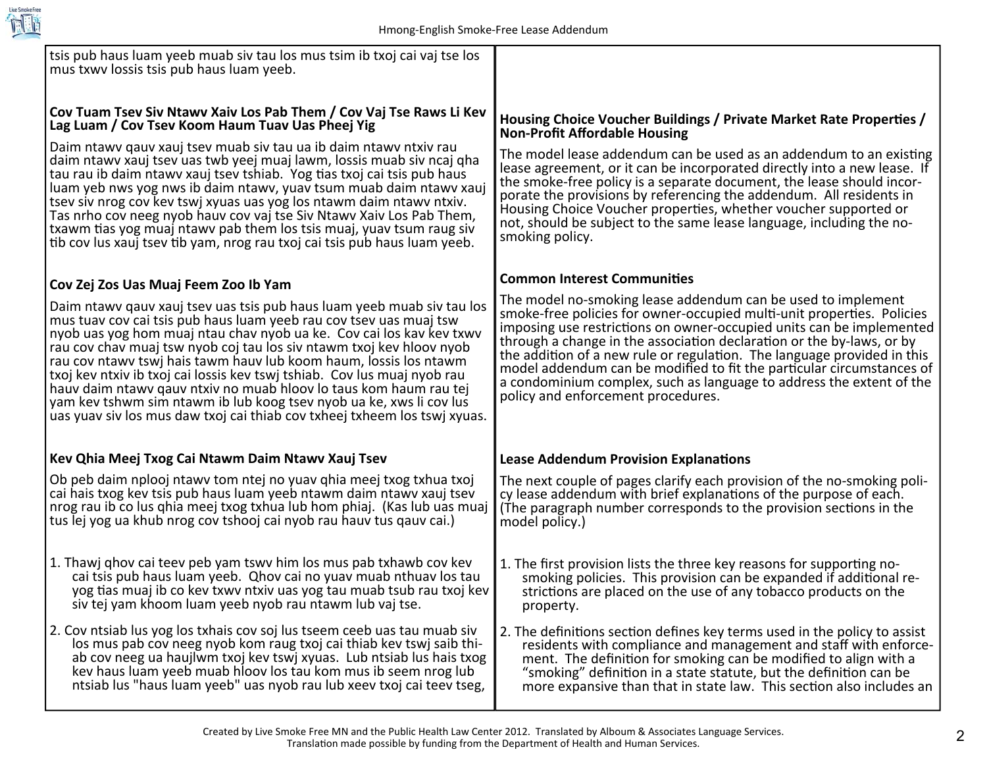

| tsis pub haus luam yeeb muab siv tau los mus tsim ib txoj cai vaj tse los<br>mus txwy lossis tsis pub haus luam yeeb.                                                                                                                                                                                                                                                                                                                                                                                                                                                                                                                                                  |                                                                                                                                                                                                                                                                                                                                                                                                                                                                                                                                                           |
|------------------------------------------------------------------------------------------------------------------------------------------------------------------------------------------------------------------------------------------------------------------------------------------------------------------------------------------------------------------------------------------------------------------------------------------------------------------------------------------------------------------------------------------------------------------------------------------------------------------------------------------------------------------------|-----------------------------------------------------------------------------------------------------------------------------------------------------------------------------------------------------------------------------------------------------------------------------------------------------------------------------------------------------------------------------------------------------------------------------------------------------------------------------------------------------------------------------------------------------------|
| Cov Tuam Tsev Siv Ntawy Xaiv Los Pab Them / Cov Vaj Tse Raws Li Kev<br>Lag Luam / Cov Tsev Koom Haum Tuav Uas Pheej Yig                                                                                                                                                                                                                                                                                                                                                                                                                                                                                                                                                | Housing Choice Voucher Buildings / Private Market Rate Properties /<br><b>Non-Profit Affordable Housing</b>                                                                                                                                                                                                                                                                                                                                                                                                                                               |
| Daim ntawy qauy xauj tsey muab siy tau ua ib daim ntawy ntxiy rau<br>daim ntawy xauj tsev uas twb yeej muaj lawm, lossis muab siv ncaj qha<br>tau rau ib daim ntawy xauj tsev tshiab. Yog tias txoj cai tsis pub haus<br>luam yeb nws yog nws ib daim ntawy, yuav tsum muab daim ntawy xauj<br>tsev siv nrog cov kev tswj xyuas uas yog los ntawm daim ntawv ntxiv.<br>Tas nrho cov neeg nyob hauv cov vaj tse Siv Ntawv Xaiv Los Pab Them,<br>txawm tias yog muaj ntawy pab them los tsis muaj, yuav tsum raug siv<br>tib cov lus xauj tsev tib yam, nrog rau txoj cai tsis pub haus luam yeeb.                                                                       | The model lease addendum can be used as an addendum to an existing<br>lease agreement, or it can be incorporated directly into a new lease. If<br>the smoke-free policy is a separate document, the lease should incor-<br>porate the provisions by referencing the addendum. All residents in<br>Housing Choice Voucher properties, whether voucher supported or<br>not, should be subject to the same lease language, including the no-<br>smoking policy.                                                                                              |
| Cov Zej Zos Uas Muaj Feem Zoo Ib Yam                                                                                                                                                                                                                                                                                                                                                                                                                                                                                                                                                                                                                                   | <b>Common Interest Communities</b>                                                                                                                                                                                                                                                                                                                                                                                                                                                                                                                        |
| Daim ntawy qauv xauj tsev uas tsis pub haus luam yeeb muab siv tau los<br>mus tuav cov cai tsis pub haus luam yeeb rau cov tsev uas muaj tsw<br>nyob uas yog hom muaj ntau chav nyob ua ke. Cov cai los kav kev txwv<br>rau cov chav muaj tsw nyob coj tau los siv ntawm txoj kev hloov nyob<br>rau cov ntawy tswi hais tawm hauv lub koom haum, lossis los ntawm<br>txoj kev ntxiv ib txoj cai lossis kev tswj tshiab. Cov lus muaj nyob rau<br>hauv daim ntawy gauv ntxiv no muab hloov lo taus kom haum rau tej<br>yam kev tshwm sim ntawm ib lub koog tsev nyob ua ke, xws li cov lus<br>uas yuav siv los mus daw txoj cai thiab cov txheej txheem los tswj xyuas. | The model no-smoking lease addendum can be used to implement<br>smoke-free policies for owner-occupied multi-unit properties. Policies<br>imposing use restrictions on owner-occupied units can be implemented<br>through a change in the association declaration or the by-laws, or by<br>the addition of a new rule or regulation. The language provided in this<br>model addendum can be modified to fit the particular circumstances of<br>a condominium complex, such as language to address the extent of the<br>policy and enforcement procedures. |
| Kev Qhia Meej Txog Cai Ntawm Daim Ntawy Xauj Tsev                                                                                                                                                                                                                                                                                                                                                                                                                                                                                                                                                                                                                      | <b>Lease Addendum Provision Explanations</b>                                                                                                                                                                                                                                                                                                                                                                                                                                                                                                              |
| Ob peb daim nplooj ntawy tom ntej no yuav qhia meej txog txhua txoj<br>cai hais txog kev tsis pub haus luam yeeb ntawm daim ntawy xauj tsev<br>nrog rau ib co lus qhia meej txog txhua lub hom phiaj. (Kas lub uas muaj<br>tus lej yog ua khub nrog cov tshooj cai nyob rau hauv tus qauv cai.)                                                                                                                                                                                                                                                                                                                                                                        | The next couple of pages clarify each provision of the no-smoking poli-<br>cy lease addendum with brief explanations of the purpose of each.<br>(The paragraph number corresponds to the provision sections in the<br>model policy.)                                                                                                                                                                                                                                                                                                                      |
| 1. Thawj ghov cai teev peb yam tswy him los mus pab txhawb cov kev<br>cai tsis pub haus luam yeeb. Qhov cai no yuav muab nthuav los tau<br>yog tias muaj ib co kev txwy ntxiv uas yog tau muab tsub rau txoj kev<br>siv tej yam khoom luam yeeb nyob rau ntawm lub vaj tse.                                                                                                                                                                                                                                                                                                                                                                                            | 1. The first provision lists the three key reasons for supporting no-<br>smoking policies. This provision can be expanded if additional re-<br>strictions are placed on the use of any tobacco products on the<br>property.                                                                                                                                                                                                                                                                                                                               |
| 2. Cov ntsiab lus yog los txhais cov soj lus tseem ceeb uas tau muab siv<br>los mus pab cov neeg nyob kom raug txoj cai thiab kev tswj saib thi-<br>ab cov neeg ua haujlwm txoj kev tswj xyuas. Lub ntsiab lus hais txog<br>key haus luam yeeb muab hloov los tau kom mus ib seem nrog lub<br>ntsiab lus "haus luam yeeb" uas nyob rau lub xeev txoj cai teev tseg,                                                                                                                                                                                                                                                                                                    | 2. The definitions section defines key terms used in the policy to assist<br>residents with compliance and management and staff with enforce-<br>ment. The definition for smoking can be modified to align with a<br>"smoking" definition in a state statute, but the definition can be<br>more expansive than that in state law. This section also includes an                                                                                                                                                                                           |
|                                                                                                                                                                                                                                                                                                                                                                                                                                                                                                                                                                                                                                                                        |                                                                                                                                                                                                                                                                                                                                                                                                                                                                                                                                                           |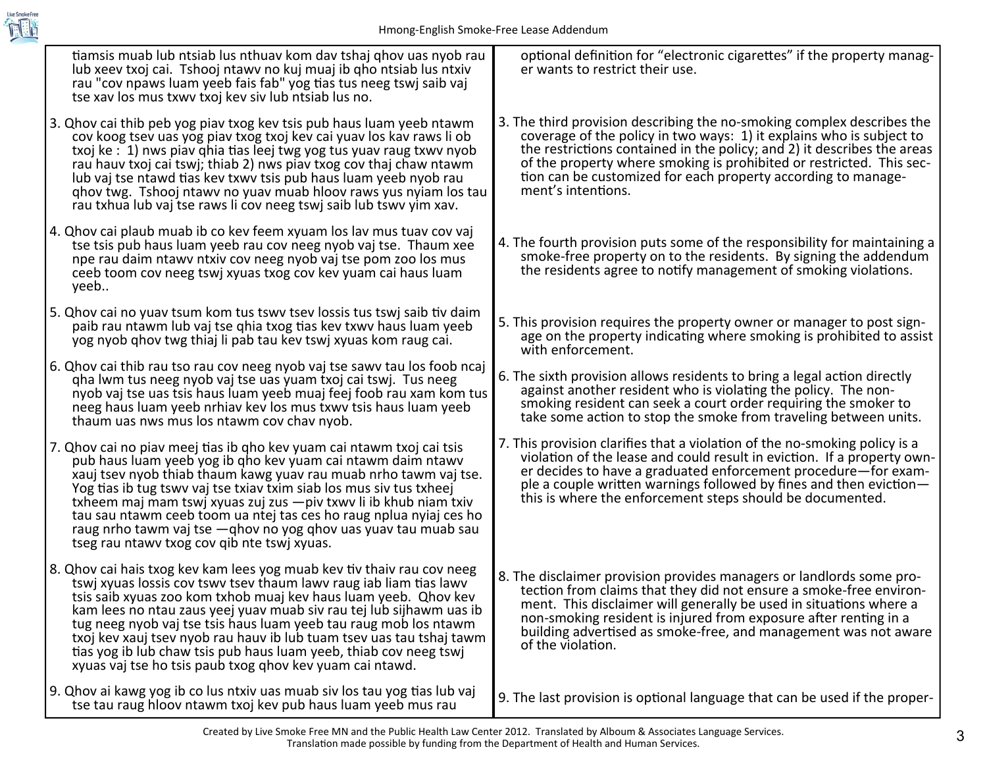

| tiamsis muab lub ntsiab lus nthuav kom dav tshaj qhov uas nyob rau<br>lub xeev txoj cai. Tshooj ntawy no kuj muaj ib qho ntsiab lus ntxiv<br>rau "cov npaws luam yeeb fais fab" yog tias tus neeg tswj saib vaj<br>tse xav los mus txwy txoj key siv lub ntsiab lus no.                                                                                                                                                                                                                                                                                             | optional definition for "electronic cigarettes" if the property manag-<br>er wants to restrict their use.                                                                                                                                                                                                                                                                                |
|---------------------------------------------------------------------------------------------------------------------------------------------------------------------------------------------------------------------------------------------------------------------------------------------------------------------------------------------------------------------------------------------------------------------------------------------------------------------------------------------------------------------------------------------------------------------|------------------------------------------------------------------------------------------------------------------------------------------------------------------------------------------------------------------------------------------------------------------------------------------------------------------------------------------------------------------------------------------|
| 3. Qhov cai thib peb yog piav txog kev tsis pub haus luam yeeb ntawm<br>cov koog tsev uas yog piav txog txoj kev cai yuav los kav raws li ob<br>txoj ke : 1) nws piav qhia tias leej twg yog tus yuav raug txwy nyob<br>rau hauv txoj cai tswj; thiab 2) nws piav txog cov thaj chaw ntawm<br>lub vaj tse ntawd tias kev txwy tsis pub haus luam yeeb nyob rau<br>ghov twg. Tshooj ntawy no yuav muab hloov raws yus nyiam los tau<br>rau txhua lub vaj tse raws li cov neeg tswi saib lub tswy yim xav.                                                            | 3. The third provision describing the no-smoking complex describes the<br>coverage of the policy in two ways: 1) it explains who is subject to<br>the restrictions contained in the policy; and 2) it describes the areas<br>of the property where smoking is prohibited or restricted. This sec-<br>tion can be customized for each property according to manage-<br>ment's intentions. |
| 4. Qhov cai plaub muab ib co kev feem xyuam los lav mus tuav cov vaj<br>tse tsis pub haus luam yeeb rau cov neeg nyob vaj tse. Thaum xee<br>npe rau daim ntawy ntxiv cov neeg nyob vaj tse pom zoo los mus<br>ceeb toom cov neeg tswj xyuas txog cov kev yuam cai haus luam<br>yeeb                                                                                                                                                                                                                                                                                 | 4. The fourth provision puts some of the responsibility for maintaining a<br>smoke-free property on to the residents. By signing the addendum<br>the residents agree to notify management of smoking violations.                                                                                                                                                                         |
| 5. Qhov cai no yuav tsum kom tus tswy tsey lossis tus tswj saib tiv daim<br>paib rau ntawm lub vaj tse ghia txog tias kev txwy haus luam yeeb<br>yog nyob ghov twg thiaj li pab tau kev tswj xyuas kom raug cai.                                                                                                                                                                                                                                                                                                                                                    | 5. This provision requires the property owner or manager to post sign-<br>age on the property indicating where smoking is prohibited to assist<br>with enforcement.                                                                                                                                                                                                                      |
| 6. Qhov cai thib rau tso rau cov neeg nyob vaj tse sawy tau los foob ncaj<br>gha lwm tus neeg nyob vaj tse uas yuam txoj cai tswj. Tus neeg<br>nyob vaj tse uas tsis haus luam yeeb muaj feej foob rau xam kom tus<br>neeg haus luam yeeb nrhiav kev los mus txwy tsis haus luam yeeb<br>thaum uas nws mus los ntawm cov chav nyob.                                                                                                                                                                                                                                 | 6. The sixth provision allows residents to bring a legal action directly<br>against another resident who is violating the policy. The non-<br>smoking resident can seek a court order requiring the smoker to<br>take some action to stop the smoke from traveling between units.                                                                                                        |
| 7. Qhov cai no piav meej tias ib qho kev yuam cai ntawm txoj cai tsis<br>pub haus luam yeeb yog ib qho kev yuam cai ntawm daim ntawv<br>xauj tsev nyob thiab thaum kawg yuav rau muab nrho tawm vaj tse.<br>Yog tias ib tug tswy vaj tse txiav txim siab los mus siv tus txheej<br>txheem maj mam tswj xyuas zuj zus $-piv$ txwy li ib khub niam txiv<br>tau sau ntawm ceeb toom ua ntej tas ces ho raug nplua nyiaj ces ho<br>raug nrho tawm vaj tse - qhov no yog qhov uas yuav tau muab sau<br>tseg rau ntawy txog cov qib nte tswj xyuas.                       | 7. This provision clarifies that a violation of the no-smoking policy is a<br>violation of the lease and could result in eviction. If a property own-<br>er decides to have a graduated enforcement procedure-for exam-<br>ple a couple written warnings followed by fines and then eviction-<br>this is where the enforcement steps should be documented.                               |
| 8. Qhov cai hais txog kev kam lees yog muab kev tiv thaiv rau cov neeg<br>tswj xyuas lossis cov tswy tsey thaum lawy raug iab liam tias lawy<br>tsis saib xyuas zoo kom txhob muaj kev haus luam yeeb. Qhov kev<br>kam lees no ntau zaus yeej yuav muab siv rau tej lub sijhawm uas ib<br>tug neeg nyob vaj tse tsis haus luam yeeb tau raug mob los ntawm<br>txoj kev xauj tsev nyob rau hauv ib lub tuam tsev uas tau tshaj tawm<br>tias yog ib lub chaw tsis pub haus luam yeeb, thiab cov neeg tswj<br>xyuas vaj tse ho tsis paub txog ghov kev yuam cai ntawd. | 8. The disclaimer provision provides managers or landlords some pro-<br>tection from claims that they did not ensure a smoke-free environ-<br>ment. This disclaimer will generally be used in situations where a<br>non-smoking resident is injured from exposure after renting in a<br>building advertised as smoke-free, and management was not aware<br>of the violation.             |
| 9. Qhov ai kawg yog ib co lus ntxiv uas muab siv los tau yog tias lub vaj<br>tse tau raug hloov ntawm txoj kev pub haus luam yeeb mus rau                                                                                                                                                                                                                                                                                                                                                                                                                           | 9. The last provision is optional language that can be used if the proper-                                                                                                                                                                                                                                                                                                               |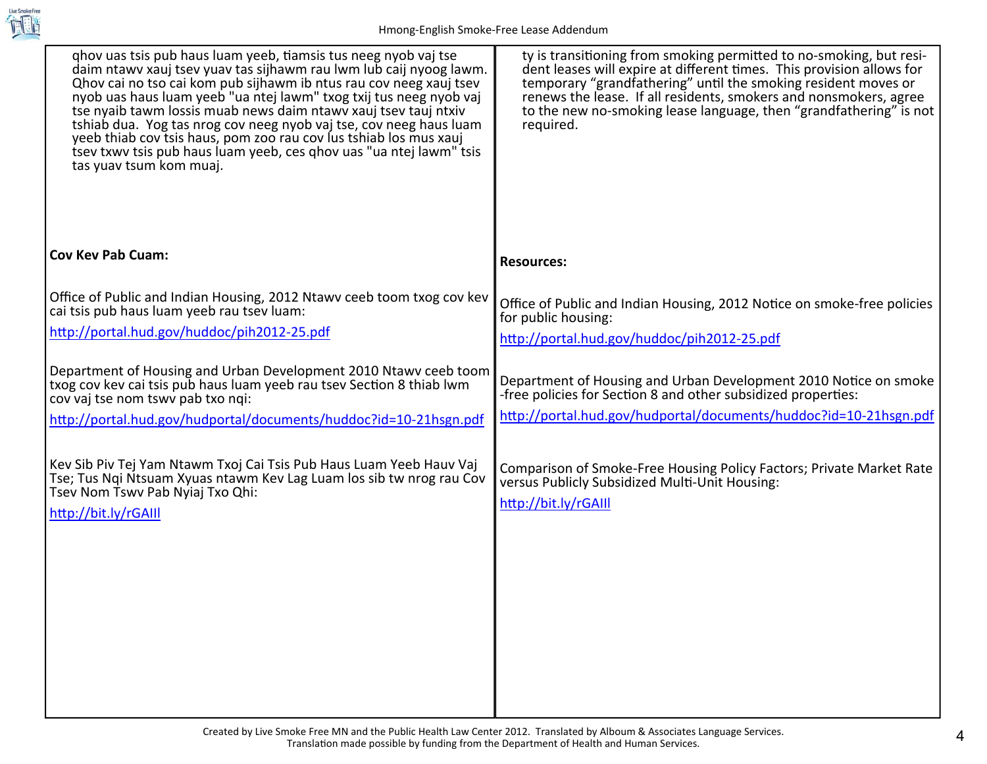

| ghov uas tsis pub haus luam yeeb, tiamsis tus neeg nyob vaj tse<br>daim ntawy xauj tsev yuav tas sijhawm rau lwm lub caij nyoog lawm.<br>Ohov cai no tso cai kom pub sijhawm ib ntus rau cov neeg xauj tsev<br>nyob uas haus luam yeeb "ua ntej lawm" txog txij tus neeg nyob vaj<br>tse nyaib tawm lossis muab news daim ntawy xauj tsev tauj ntxiv<br>tshiab dua. Yog tas nrog cov neeg nyob vaj tse, cov neeg haus luam<br>yeeb thiab cov tsis haus, pom zoo rau cov lus tshiab los mus xauj<br>tsev txwy tsis pub haus luam yeeb, ces ghov uas "ua ntej lawm" tsis<br>tas yuav tsum kom muaj. | ty is transitioning from smoking permitted to no-smoking, but resi-<br>dent leases will expire at different times. This provision allows for<br>temporary "grandfathering" until the smoking resident moves or<br>renews the lease. If all residents, smokers and nonsmokers, agree<br>to the new no-smoking lease language, then "grandfathering" is not<br>required. |
|---------------------------------------------------------------------------------------------------------------------------------------------------------------------------------------------------------------------------------------------------------------------------------------------------------------------------------------------------------------------------------------------------------------------------------------------------------------------------------------------------------------------------------------------------------------------------------------------------|------------------------------------------------------------------------------------------------------------------------------------------------------------------------------------------------------------------------------------------------------------------------------------------------------------------------------------------------------------------------|
| <b>Cov Kev Pab Cuam:</b>                                                                                                                                                                                                                                                                                                                                                                                                                                                                                                                                                                          | <b>Resources:</b>                                                                                                                                                                                                                                                                                                                                                      |
| Office of Public and Indian Housing, 2012 Ntawv ceeb toom txog cov kev<br>cai tsis pub haus luam yeeb rau tsey luam:                                                                                                                                                                                                                                                                                                                                                                                                                                                                              | Office of Public and Indian Housing, 2012 Notice on smoke-free policies<br>for public housing:                                                                                                                                                                                                                                                                         |
| http://portal.hud.gov/huddoc/pih2012-25.pdf                                                                                                                                                                                                                                                                                                                                                                                                                                                                                                                                                       | http://portal.hud.gov/huddoc/pih2012-25.pdf                                                                                                                                                                                                                                                                                                                            |
| Department of Housing and Urban Development 2010 Ntawy ceeb toom<br>txog cov kev cai tsis pub haus luam yeeb rau tsev Section 8 thiab lwm<br>cov vaj tse nom tswy pab txo ngi:                                                                                                                                                                                                                                                                                                                                                                                                                    | Department of Housing and Urban Development 2010 Notice on smoke<br>-free policies for Section 8 and other subsidized properties:                                                                                                                                                                                                                                      |
| http://portal.hud.gov/hudportal/documents/huddoc?id=10-21hsgn.pdf                                                                                                                                                                                                                                                                                                                                                                                                                                                                                                                                 | http://portal.hud.gov/hudportal/documents/huddoc?id=10-21hsgn.pdf                                                                                                                                                                                                                                                                                                      |
| Kev Sib Piv Tej Yam Ntawm Txoj Cai Tsis Pub Haus Luam Yeeb Hauv Vaj<br>Tse; Tus Nqi Ntsuam Xyuas ntawm Kev Lag Luam los sib tw nrog rau Cov<br>Tsev Nom Tswy Pab Nyiaj Txo Qhi:<br>http://bit.ly/rGAIII                                                                                                                                                                                                                                                                                                                                                                                           | Comparison of Smoke-Free Housing Policy Factors; Private Market Rate<br>versus Publicly Subsidized Multi-Unit Housing:<br>http://bit.ly/rGAIII                                                                                                                                                                                                                         |
|                                                                                                                                                                                                                                                                                                                                                                                                                                                                                                                                                                                                   |                                                                                                                                                                                                                                                                                                                                                                        |
|                                                                                                                                                                                                                                                                                                                                                                                                                                                                                                                                                                                                   |                                                                                                                                                                                                                                                                                                                                                                        |
|                                                                                                                                                                                                                                                                                                                                                                                                                                                                                                                                                                                                   |                                                                                                                                                                                                                                                                                                                                                                        |
|                                                                                                                                                                                                                                                                                                                                                                                                                                                                                                                                                                                                   |                                                                                                                                                                                                                                                                                                                                                                        |
|                                                                                                                                                                                                                                                                                                                                                                                                                                                                                                                                                                                                   |                                                                                                                                                                                                                                                                                                                                                                        |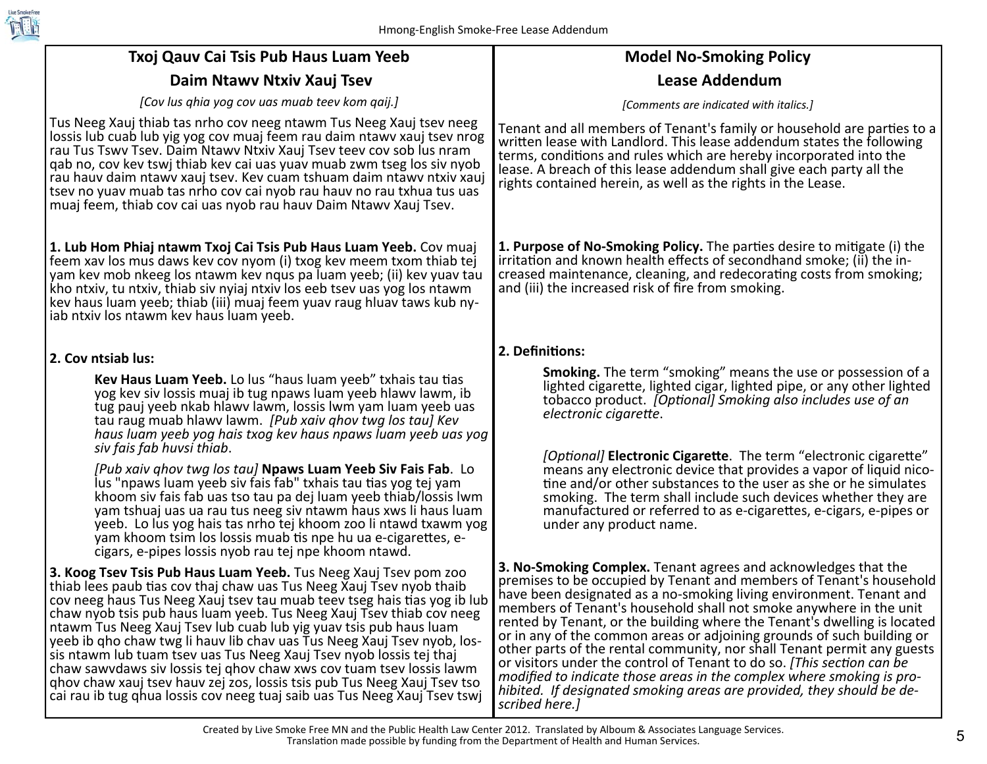

| Txoj Qauv Cai Tsis Pub Haus Luam Yeeb                                                                                                                                                                                                                                                                                                                                                                                                                                                                                                                                                                                                                                                                                                                | <b>Model No-Smoking Policy</b>                                                                                                                                                                                                                                                                                                                                                                                                                                                                                                                                                                                                                                                                                                                                    |
|------------------------------------------------------------------------------------------------------------------------------------------------------------------------------------------------------------------------------------------------------------------------------------------------------------------------------------------------------------------------------------------------------------------------------------------------------------------------------------------------------------------------------------------------------------------------------------------------------------------------------------------------------------------------------------------------------------------------------------------------------|-------------------------------------------------------------------------------------------------------------------------------------------------------------------------------------------------------------------------------------------------------------------------------------------------------------------------------------------------------------------------------------------------------------------------------------------------------------------------------------------------------------------------------------------------------------------------------------------------------------------------------------------------------------------------------------------------------------------------------------------------------------------|
| Daim Ntawy Ntxiv Xauj Tsev                                                                                                                                                                                                                                                                                                                                                                                                                                                                                                                                                                                                                                                                                                                           | <b>Lease Addendum</b>                                                                                                                                                                                                                                                                                                                                                                                                                                                                                                                                                                                                                                                                                                                                             |
| [Cov lus ghia yog cov uas muab teev kom qaij.]                                                                                                                                                                                                                                                                                                                                                                                                                                                                                                                                                                                                                                                                                                       | [Comments are indicated with italics.]                                                                                                                                                                                                                                                                                                                                                                                                                                                                                                                                                                                                                                                                                                                            |
| Tus Neeg Xauj thiab tas nrho cov neeg ntawm Tus Neeg Xauj tsev neeg<br>lossis lub cuab lub yig yog cov muaj feem rau daim ntawy xauj tsev nrog<br>rau Tus Tswy Tsey. Daim Ntawy Ntxiy Xauj Tsey teey coy sob lus nram<br>gab no, cov kev tswj thiab kev cai uas yuav muab zwm tseg los siv nyob<br>rau hauv daim ntawy xauj tsev. Kev cuam tshuam daim ntawy ntxiv xauj<br>tsev no yuav muab tas nrho cov cai nyob rau hauv no rau txhua tus uas<br>muaj feem, thiab cov cai uas nyob rau hauv Daim Ntawv Xauj Tsev.                                                                                                                                                                                                                                 | Tenant and all members of Tenant's family or household are parties to a<br>written lease with Landlord. This lease addendum states the following<br>terms, conditions and rules which are hereby incorporated into the<br>lease. A breach of this lease addendum shall give each party all the<br>rights contained herein, as well as the rights in the Lease.                                                                                                                                                                                                                                                                                                                                                                                                    |
| 1. Lub Hom Phiaj ntawm Txoj Cai Tsis Pub Haus Luam Yeeb. Cov muaj<br>feem xav los mus daws kev cov nyom (i) txog kev meem txom thiab tej<br>yam kev mob nkeeg los ntawm kev nqus pa luam yeeb; (ii) kev yuav tau<br>kho ntxiv, tu ntxiv, thiab siv nyiaj ntxiv los eeb tsev uas yog los ntawm<br>kev haus luam yeeb; thiab (iii) muaj feem yuav raug hluav taws kub ny-<br>aliab ntxiv los ntawm kev haus luam yeeb.                                                                                                                                                                                                                                                                                                                                 | 1. Purpose of No-Smoking Policy. The parties desire to mitigate (i) the<br>irritation and known health effects of secondhand smoke; (ii) the in-<br>creased maintenance, cleaning, and redecorating costs from smoking;<br>and (iii) the increased risk of fire from smoking.                                                                                                                                                                                                                                                                                                                                                                                                                                                                                     |
| 2. Cov ntsiab lus:                                                                                                                                                                                                                                                                                                                                                                                                                                                                                                                                                                                                                                                                                                                                   | 2. Definitions:                                                                                                                                                                                                                                                                                                                                                                                                                                                                                                                                                                                                                                                                                                                                                   |
| Kev Haus Luam Yeeb. Lo lus "haus luam yeeb" txhais tau tias<br>yog kev siv lossis muaj ib tug npaws luam yeeb hlawy lawm, ib<br>tug pauj yeeb nkab hlawy lawm, lossis lwm yam luam yeeb uas<br>tau raug muab hlawy lawm. [Pub xaiv ghov twg los tau] Kev<br>haus luam yeeb yog hais txog kev haus npaws luam yeeb uas yog                                                                                                                                                                                                                                                                                                                                                                                                                            | <b>Smoking.</b> The term "smoking" means the use or possession of a<br>lighted cigarette, lighted cigar, lighted pipe, or any other lighted<br>tobacco product. [Optional] Smoking also includes use of an<br>electronic cigarette.                                                                                                                                                                                                                                                                                                                                                                                                                                                                                                                               |
| siv fais fab huvsi thiab.<br>[Pub xaiv ghov twg los tau] Npaws Luam Yeeb Siv Fais Fab. Lo<br>lus "npaws luam yeeb siv fais fab" txhais tau tias yog tej yam<br>khoom siv fais fab uas tso tau pa dej luam yeeb thiab/lossis lwm<br>yam tshuaj uas ua rau tus neeg siv ntawm haus xws li haus luam<br>yeeb. Lo lus yog hais tas nrho tej khoom zoo li ntawd txawm yog<br>yam khoom tsim los lossis muab tis npe hu ua e-cigarettes, e-<br>cigars, e-pipes lossis nyob rau tej npe khoom ntawd.                                                                                                                                                                                                                                                        | [Optional] Electronic Cigarette. The term "electronic cigarette"<br>means any electronic device that provides a vapor of liquid nico-<br>tine and/or other substances to the user as she or he simulates<br>smoking. The term shall include such devices whether they are<br>manufactured or referred to as e-cigarettes, e-cigars, e-pipes or<br>under any product name.                                                                                                                                                                                                                                                                                                                                                                                         |
| 3. Koog Tsev Tsis Pub Haus Luam Yeeb. Tus Neeg Xauj Tsev pom zoo<br>thiab lees paub tias cov thaj chaw uas Tus Neeg Xauj Tsev nyob thaib<br>cov neeg haus Tus Neeg Xauj tsev tau muab teev tseg hais tias yog ib lub<br>chaw nyob tsis pub haus luam yeeb. Tus Neeg Xauj Tsev thiab cov neeg<br>ntawm Tus Neeg Xauj Tsev lub cuab lub yig yuav tsis pub haus luam<br>yeeb ib qho chaw twg li hauv lib chav uas Tus Neeg Xauj Tsev nyob, los-<br>sis ntawm lub tuam tsev uas Tus Neeg Xauj Tsev nyob lossis tej thaj<br>chaw sawydaws siv lossis tej ghov chaw xws cov tuam tsev lossis lawm<br>ghov chaw xauj tsev hauv zej zos, lossis tsis pub Tus Neeg Xauj Tsev tso<br>cai rau ib tug qhua lossis cov neeg tuaj saib uas Tus Neeg Xauj Tsev tswj | 3. No-Smoking Complex. Tenant agrees and acknowledges that the<br>premises to be occupied by Tenant and members of Tenant's household<br>have been designated as a no-smoking living environment. Tenant and<br>members of Tenant's household shall not smoke anywhere in the unit<br>rented by Tenant, or the building where the Tenant's dwelling is located<br>or in any of the common areas or adjoining grounds of such building or<br>other parts of the rental community, nor shall Tenant permit any guests<br>or visitors under the control of Tenant to do so. [This section can be<br>modified to indicate those areas in the complex where smoking is pro-<br>hibited. If designated smoking areas are provided, they should be de-<br>scribed here.] |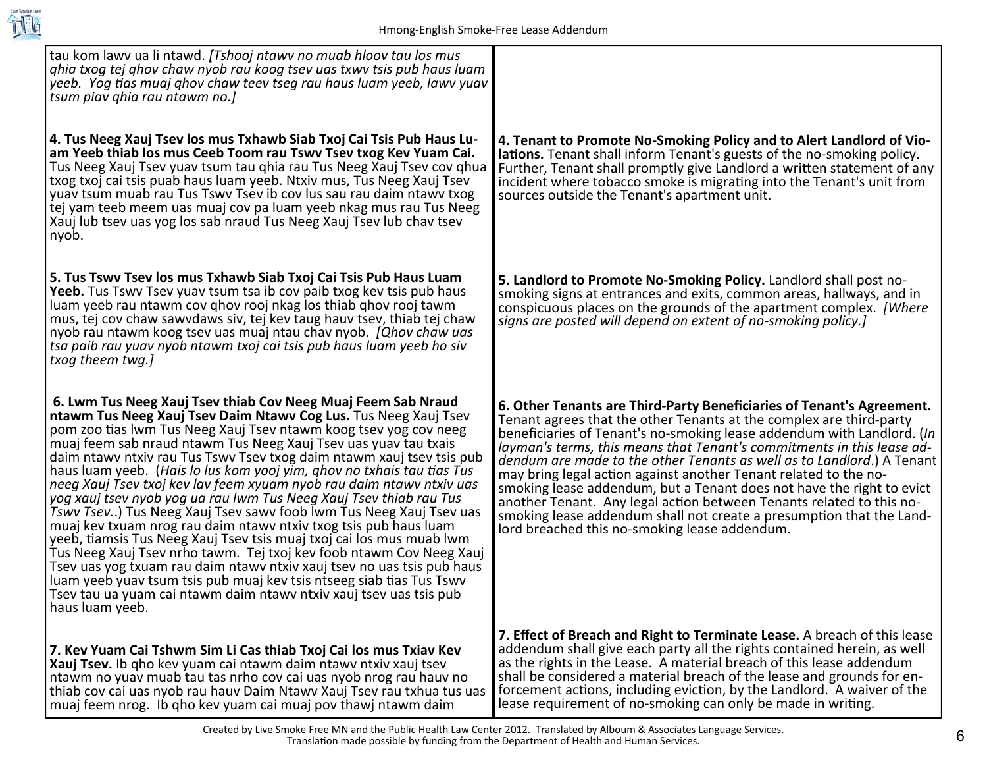

| tau kom lawy ua li ntawd. [Tshooj ntawy no muab hloov tau los mus<br>ghia txog tej ghov chaw nyob rau koog tsev uas txwy tsis pub haus luam<br>yeeb. Yog tias muaj ghov chaw teev tseg rau haus luam yeeb, lawv yuav<br>tsum piav ghia rau ntawm no.]                                                                                                                                                                                                                                                                                                                                                                                                                                                                                                                                                                                                                                                                                                                                                                                                                                                       |                                                                                                                                                                                                                                                                                                                                                                                                                                                                                                                                                                                                                                                                                                                          |
|-------------------------------------------------------------------------------------------------------------------------------------------------------------------------------------------------------------------------------------------------------------------------------------------------------------------------------------------------------------------------------------------------------------------------------------------------------------------------------------------------------------------------------------------------------------------------------------------------------------------------------------------------------------------------------------------------------------------------------------------------------------------------------------------------------------------------------------------------------------------------------------------------------------------------------------------------------------------------------------------------------------------------------------------------------------------------------------------------------------|--------------------------------------------------------------------------------------------------------------------------------------------------------------------------------------------------------------------------------------------------------------------------------------------------------------------------------------------------------------------------------------------------------------------------------------------------------------------------------------------------------------------------------------------------------------------------------------------------------------------------------------------------------------------------------------------------------------------------|
| 4. Tus Neeg Xauj Tsev los mus Txhawb Siab Txoj Cai Tsis Pub Haus Lu-<br>am Yeeb thiab los mus Ceeb Toom rau Tswy Tsey txog Key Yuam Cai.<br>Tus Neeg Xauj Tsev yuav tsum tau ghia rau Tus Neeg Xauj Tsev cov ghua<br>txog txoj cai tsis puab haus luam yeeb. Ntxiv mus, Tus Neeg Xauj Tsev<br>yuav tsum muab rau Tus Tswy Tsey ib coy lus sau rau daim ntawy txog<br>tej yam teeb meem uas muaj cov pa luam yeeb nkag mus rau Tus Neeg<br>Xauj lub tsev uas yog los sab nraud Tus Neeg Xauj Tsev lub chav tsev<br>nyob.                                                                                                                                                                                                                                                                                                                                                                                                                                                                                                                                                                                     | 4. Tenant to Promote No-Smoking Policy and to Alert Landlord of Vio-<br>lations. Tenant shall inform Tenant's guests of the no-smoking policy.<br>Further, Tenant shall promptly give Landlord a written statement of any<br>incident where tobacco smoke is migrating into the Tenant's unit from<br>sources outside the Tenant's apartment unit.                                                                                                                                                                                                                                                                                                                                                                       |
| 5. Tus Tswy Tsey los mus Txhawb Siab Txoj Cai Tsis Pub Haus Luam<br><b>Yeeb.</b> Tus Tswy Tsey yuay tsum tsa ib cov paib txog key tsis pub haus<br>luam yeeb rau ntawm cov qhov rooj nkag los thiab qhov rooj tawm<br>mus, tej cov chaw sawydaws siv, tej kev taug hauv tsev, thiab tej chaw<br>nyob rau ntawm koog tsev uas muaj ntau chav nyob. [Qhov chaw uas<br>tsa paib rau yuav nyob ntawm txoj cai tsis pub haus luam yeeb ho siv<br>txog theem twg.]                                                                                                                                                                                                                                                                                                                                                                                                                                                                                                                                                                                                                                                | 5. Landlord to Promote No-Smoking Policy. Landlord shall post no-<br>smoking signs at entrances and exits, common areas, hallways, and in<br>conspicuous places on the grounds of the apartment complex. [Where<br>signs are posted will depend on extent of no-smoking policy.]                                                                                                                                                                                                                                                                                                                                                                                                                                         |
| 6. Lwm Tus Neeg Xauj Tsev thiab Cov Neeg Muaj Feem Sab Nraud<br>ntawm Tus Neeg Xauj Tsev Daim Ntawy Cog Lus. Tus Neeg Xauj Tsev<br>pom zoo tias lwm Tus Neeg Xauj Tsev ntawm koog tsev yog cov neeg<br>muaj feem sab nraud ntawm Tus Neeg Xauj Tsev uas yuav tau txais<br>daim ntawy ntxiv rau Tus Tswy Tsey txog daim ntawm xauj tsey tsis pub<br>haus luam yeeb. (Hais lo lus kom yooj yim, ghov no txhais tau tias Tus<br>neeg Xauj Tsev txoj kev lav feem xyuam nyob rau daim ntawv ntxiv uas<br>yog xauj tsev nyob yog ua rau lwm Tus Neeg Xauj Tsev thiab rau Tus<br>Tswy Tsev) Tus Neeg Xauj Tsev sawy foob lwm Tus Neeg Xauj Tsev uas<br>muaj kev txuam nrog rau daim ntawy ntxiv txog tsis pub haus luam<br>yeeb, tiamsis Tus Neeg Xauj Tsev tsis muaj txoj cai los mus muab lwm<br>Tus Neeg Xauj Tsev nrho tawm. Tej txoj kev foob ntawm Cov Neeg Xauj<br>Tsev uas yog txuam rau daim ntawy ntxiv xauj tsev no uas tsis pub haus<br>luam yeeb yuav tsum tsis pub muaj kev tsis ntseeg siab tias Tus Tswv<br>Tsev tau ua yuam cai ntawm daim ntawy ntxiv xauj tsev uas tsis pub<br>haus luam yeeb. | 6. Other Tenants are Third-Party Beneficiaries of Tenant's Agreement.<br>Tenant agrees that the other Tenants at the complex are third-party<br>beneficiaries of Tenant's no-smoking lease addendum with Landlord. (In<br>layman's terms, this means that Tenant's commitments in this lease ad-<br>dendum are made to the other Tenants as well as to Landlord.) A Tenant<br>may bring legal action against another Tenant related to the no-<br>smoking lease addendum, but a Tenant does not have the right to evict<br>another Tenant. Any legal action between Tenants related to this no-<br>smoking lease addendum shall not create a presumption that the Land-<br>lord breached this no-smoking lease addendum. |
| 7. Kev Yuam Cai Tshwm Sim Li Cas thiab Txoj Cai los mus Txiav Kev<br>Xauj Tsev. Ib qho kev yuam cai ntawm daim ntawy ntxiv xauj tsev<br>ntawm no yuav muab tau tas nrho cov cai uas nyob nrog rau hauv no<br>thiab cov cai uas nyob rau hauv Daim Ntawy Xauj Tsev rau txhua tus uas<br>muaj feem nrog. Ib qho kev yuam cai muaj pov thawj ntawm daim                                                                                                                                                                                                                                                                                                                                                                                                                                                                                                                                                                                                                                                                                                                                                        | 7. Effect of Breach and Right to Terminate Lease. A breach of this lease<br>addendum shall give each party all the rights contained herein, as well<br>as the rights in the Lease. A material breach of this lease addendum<br>shall be considered a material breach of the lease and grounds for en-<br>forcement actions, including eviction, by the Landlord. A waiver of the<br>lease requirement of no-smoking can only be made in writing.                                                                                                                                                                                                                                                                         |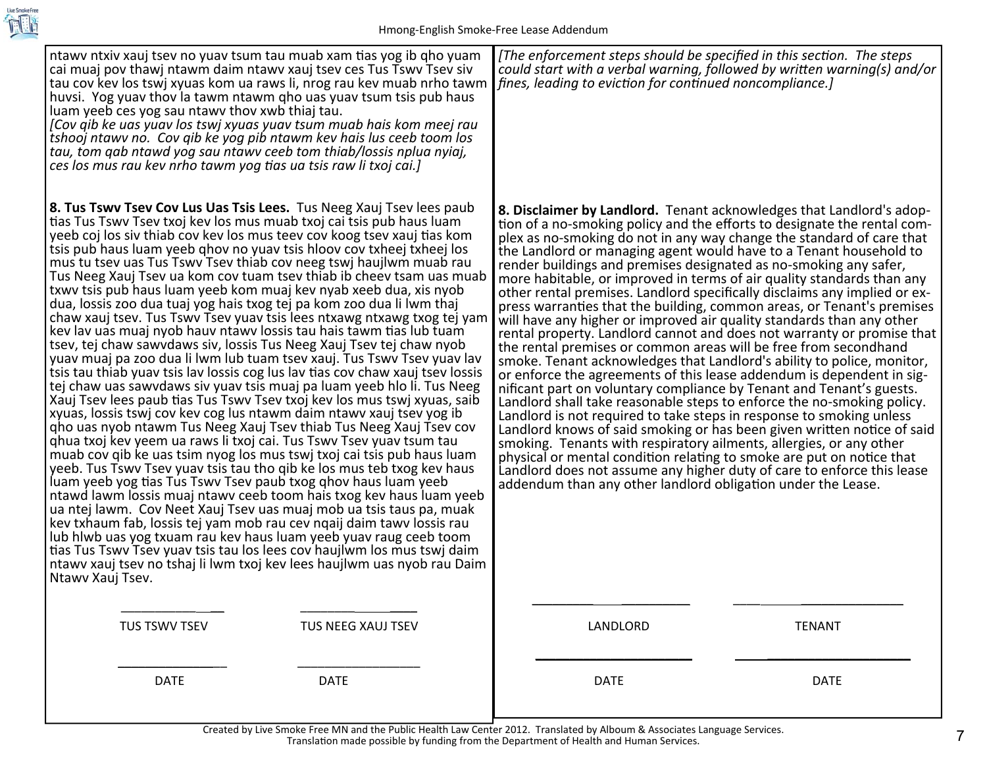

| ntawy ntxiv xauj tsey no yuay tsum tau muab xam tias yog ib qho yuam<br>cai muaj pov thawj ntawm daim ntawy xauj tsev ces Tus Tswy Tsev siv<br>tau cov kev los tswj xyuas kom ua raws li, nrog rau kev muab nrho tawm<br>huvsi. Yog yuav thov la tawm ntawm qho uas yuav tsum tsis pub haus<br>luam yeeb ces yog sau ntawy thov xwb thiaj tau.<br>[Cov qib ke uas yuav los tswj xyuas yuav tsum muab hais kom meej rau<br>tshooj ntawv no. Cov qib ke yog pib ntawm kev hais lus ceeb toom los<br>tau, tom qab ntawd yog sau ntawy ceeb tom thiab/lossis nplua nyiaj,<br>ces los mus rau kev nrho tawm yog tias ua tsis raw li txoj cai.]                                                                                                                                                                                                                                                                                                                                                                                                                                                                                                                                                                                                                                                                                                                                                                                                                                                                                                                                                                                                                                                                                                                                                                                                                                                                                                                                                                                                                 | [The enforcement steps should be specified in this section. The steps<br>could start with a verbal warning, followed by written warning(s) and/or<br>fines, leading to eviction for continued noncompliance.]                                                                                                                                                                                                                                                                                                                                                                                                                                                                                                                                                                                                                                                                                                                                                                                                                                                                                                                                                                                                                                                                                                                                                                                                                                                                                                                                                                  |
|-----------------------------------------------------------------------------------------------------------------------------------------------------------------------------------------------------------------------------------------------------------------------------------------------------------------------------------------------------------------------------------------------------------------------------------------------------------------------------------------------------------------------------------------------------------------------------------------------------------------------------------------------------------------------------------------------------------------------------------------------------------------------------------------------------------------------------------------------------------------------------------------------------------------------------------------------------------------------------------------------------------------------------------------------------------------------------------------------------------------------------------------------------------------------------------------------------------------------------------------------------------------------------------------------------------------------------------------------------------------------------------------------------------------------------------------------------------------------------------------------------------------------------------------------------------------------------------------------------------------------------------------------------------------------------------------------------------------------------------------------------------------------------------------------------------------------------------------------------------------------------------------------------------------------------------------------------------------------------------------------------------------------------------------------------------|--------------------------------------------------------------------------------------------------------------------------------------------------------------------------------------------------------------------------------------------------------------------------------------------------------------------------------------------------------------------------------------------------------------------------------------------------------------------------------------------------------------------------------------------------------------------------------------------------------------------------------------------------------------------------------------------------------------------------------------------------------------------------------------------------------------------------------------------------------------------------------------------------------------------------------------------------------------------------------------------------------------------------------------------------------------------------------------------------------------------------------------------------------------------------------------------------------------------------------------------------------------------------------------------------------------------------------------------------------------------------------------------------------------------------------------------------------------------------------------------------------------------------------------------------------------------------------|
| 8. Tus Tswy Tsey Cov Lus Uas Tsis Lees. Tus Neeg Xauj Tsey lees paub<br>tias Tus Tswy Tsey txoj key los mus muab txoj cai tsis pub haus luam<br>yeeb coj los siv thiab cov kev los mus teev cov koog tsev xauj tias kom<br>tsis pub haus luam yeeb ghov no yuav tsis hloov cov txheej txheej los<br>mus tu tsev uas Tus Tswy Tsev thiab cov neeg tswj haujlwm muab rau<br>Tus Neeg Xauj Tsev ua kom cov tuam tsev thiab ib cheev tsam uas muab<br>txwy tsis pub haus luam yeeb kom muaj key nyab xeeb dua, xis nyob<br>dua, lossis zoo dua tuaj yog hais txog tej pa kom zoo dua li lwm thaj<br>chaw xauj tsev. Tus Tswy Tsev yuay tsis lees ntxawg ntxawg txog tej yam<br>key lay uas muaj nyob hauv ntawy lossis tau hais tawm tias lub tuam<br>tsev, tej chaw sawydaws siv, lossis Tus Neeg Xauj Tsev tej chaw nyob<br>yuav muaj pa zoo dua li lwm lub tuam tsev xauj. Tus Tswv Tsev yuav lav<br>tsis tau thiab yuav tsis lav lossis cog lus lav tias cov chaw xauj tsev lossis<br>tej chaw uas sawydaws siv yuav tsis muaj pa luam yeeb hlo li. Tus Neeg<br>Xauj Tsev lees paub tias Tus Tswy Tsev txoj kev los mus tswj xyuas, saib<br>xyuas, lossis tswj cov kev cog lus ntawm daim ntawy xauj tsev yog ib<br>gho uas nyob ntawm Tus Neeg Xauj Tsev thiab Tus Neeg Xauj Tsev cov<br>ghua txoj kev yeem ua raws li txoj cai. Tus Tswy Tsev yuav tsum tau<br>muab cov qib ke uas tsim nyog los mus tswj txoj cai tsis pub haus luam<br>yeeb. Tus Tswy Tsey yuay tsis tau tho gib ke los mus teb txog key haus<br>luam yeeb yog tias Tus Tswy Tsey paub txog qhov haus luam yeeb<br>ntawd lawm lossis muaj ntawy ceeb toom hais txog key haus luam yeeb<br>ua ntej lawm. Cov Neet Xauj Tsev uas muaj mob ua tsis taus pa, muak<br>kev txhaum fab, lossis tej yam mob rau cev ngaij daim tawy lossis rau<br>lub hlwb uas yog txuam rau kev haus luam yeeb yuav raug ceeb toom<br>tias Tus Tswy Tsey yuay tsis tau los lees cov haujlwm los mus tswj daim<br>ntawy xauj tsev no tshaj li lwm txoj kev lees haujlwm uas nyob rau Daim<br>Ntawy Xauj Tsev. | 8. Disclaimer by Landlord. Tenant acknowledges that Landlord's adop-<br>tion of a no-smoking policy and the efforts to designate the rental com-<br>plex as no-smoking do not in any way change the standard of care that<br>the Landlord or managing agent would have to a Tenant household to<br>render buildings and premises designated as no-smoking any safer,<br>more habitable, or improved in terms of air quality standards than any<br>other rental premises. Landlord specifically disclaims any implied or ex-<br>press warranties that the building, common areas, or Tenant's premises<br>will have any higher or improved air quality standards than any other<br>rental property. Landlord cannot and does not warranty or promise that<br>the rental premises or common areas will be free from secondhand<br>smoke. Tenant acknowledges that Landlord's ability to police, monitor,<br>or enforce the agreements of this lease addendum is dependent in sig-<br>nificant part on voluntary compliance by Tenant and Tenant's guests.<br>Landlord shall take reasonable steps to enforce the no-smoking policy.<br>Landlord is not required to take steps in response to smoking unless<br>Landlord knows of said smoking or has been given written notice of said<br>smoking. Tenants with respiratory ailments, allergies, or any other<br>physical or mental condition relating to smoke are put on notice that<br>Landlord does not assume any higher duty of care to enforce this lease<br>addendum than any other landlord obligation under the Lease. |
| TUS TSWV TSEV                                                                                                                                                                                                                                                                                                                                                                                                                                                                                                                                                                                                                                                                                                                                                                                                                                                                                                                                                                                                                                                                                                                                                                                                                                                                                                                                                                                                                                                                                                                                                                                                                                                                                                                                                                                                                                                                                                                                                                                                                                             | LANDLORD                                                                                                                                                                                                                                                                                                                                                                                                                                                                                                                                                                                                                                                                                                                                                                                                                                                                                                                                                                                                                                                                                                                                                                                                                                                                                                                                                                                                                                                                                                                                                                       |
| TUS NEEG XAUJ TSEV                                                                                                                                                                                                                                                                                                                                                                                                                                                                                                                                                                                                                                                                                                                                                                                                                                                                                                                                                                                                                                                                                                                                                                                                                                                                                                                                                                                                                                                                                                                                                                                                                                                                                                                                                                                                                                                                                                                                                                                                                                        | <b>TENANT</b>                                                                                                                                                                                                                                                                                                                                                                                                                                                                                                                                                                                                                                                                                                                                                                                                                                                                                                                                                                                                                                                                                                                                                                                                                                                                                                                                                                                                                                                                                                                                                                  |
| <b>DATE</b>                                                                                                                                                                                                                                                                                                                                                                                                                                                                                                                                                                                                                                                                                                                                                                                                                                                                                                                                                                                                                                                                                                                                                                                                                                                                                                                                                                                                                                                                                                                                                                                                                                                                                                                                                                                                                                                                                                                                                                                                                                               | <b>DATE</b>                                                                                                                                                                                                                                                                                                                                                                                                                                                                                                                                                                                                                                                                                                                                                                                                                                                                                                                                                                                                                                                                                                                                                                                                                                                                                                                                                                                                                                                                                                                                                                    |
| <b>DATE</b>                                                                                                                                                                                                                                                                                                                                                                                                                                                                                                                                                                                                                                                                                                                                                                                                                                                                                                                                                                                                                                                                                                                                                                                                                                                                                                                                                                                                                                                                                                                                                                                                                                                                                                                                                                                                                                                                                                                                                                                                                                               | <b>DATE</b>                                                                                                                                                                                                                                                                                                                                                                                                                                                                                                                                                                                                                                                                                                                                                                                                                                                                                                                                                                                                                                                                                                                                                                                                                                                                                                                                                                                                                                                                                                                                                                    |

Created by Live Smoke Free MN and the Public Health Law Center 2012. Translated by Alboum & Associates Language Services. Translation made possible by funding from the Department of Health and Human Services.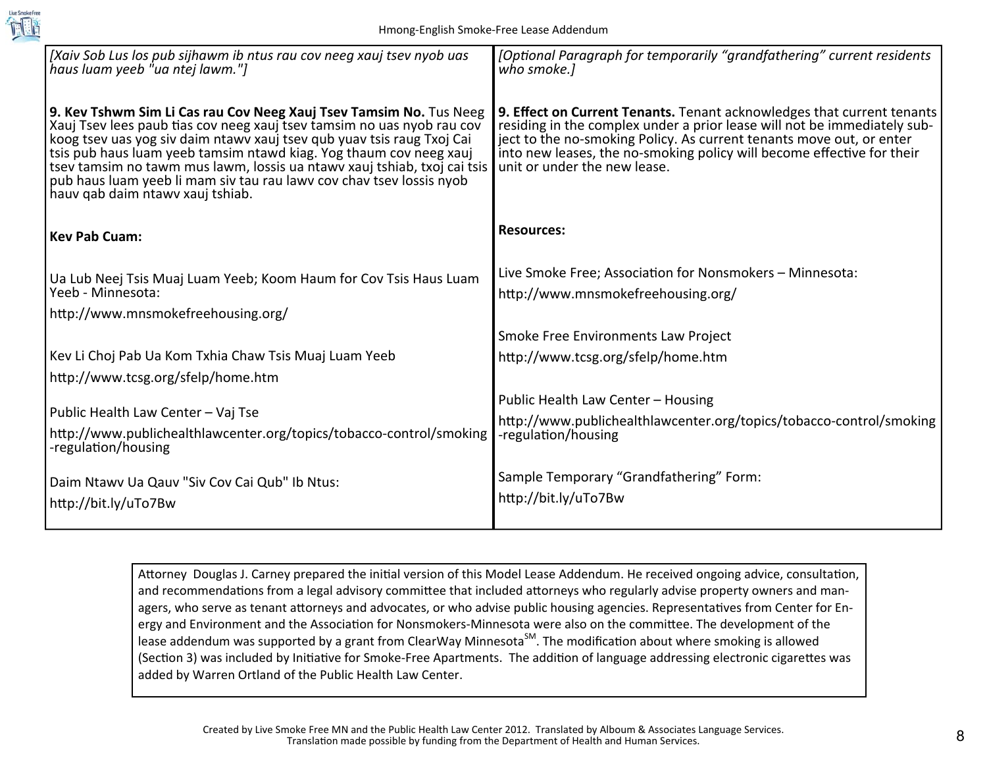

| [Xaiv Sob Lus los pub sijhawm ib ntus rau cov neeg xauj tsev nyob uas<br>haus luam yeeb "ua ntej lawm."]                                                                                                                                                                                                                                                                                                                                                                             | [Optional Paragraph for temporarily "grandfathering" current residents<br>who smoke.]                                                                                                                                                                                                                                                |
|--------------------------------------------------------------------------------------------------------------------------------------------------------------------------------------------------------------------------------------------------------------------------------------------------------------------------------------------------------------------------------------------------------------------------------------------------------------------------------------|--------------------------------------------------------------------------------------------------------------------------------------------------------------------------------------------------------------------------------------------------------------------------------------------------------------------------------------|
| 9. Kev Tshwm Sim Li Cas rau Cov Neeg Xauj Tsev Tamsim No. Tus Neeg<br>Xauj Tsev lees paub tias cov neeg xauj tsev tamsim no uas nyob rau cov<br>koog tsev uas yog siv daim ntawy xauj tsev qub yuav tsis raug Txoj Cai<br>tsis pub haus luam yeeb tamsim ntawd kiag. Yog thaum cov neeg xauj<br>tsev tamsim no tawm mus lawm, lossis ua ntawy xauj tshiab, txoj cai tsis<br>pub haus luam yeeb li mam siv tau rau lawy cov chay tsey lossis nyob<br>hauv qab daim ntawv xauj tshiab. | 9. Effect on Current Tenants. Tenant acknowledges that current tenants<br>residing in the complex under a prior lease will not be immediately sub-<br>ject to the no-smoking Policy. As current tenants move out, or enter<br>into new leases, the no-smoking policy will become effective for their<br>unit or under the new lease. |
| <b>Kev Pab Cuam:</b>                                                                                                                                                                                                                                                                                                                                                                                                                                                                 | <b>Resources:</b>                                                                                                                                                                                                                                                                                                                    |
| Ua Lub Neej Tsis Muaj Luam Yeeb; Koom Haum for Cov Tsis Haus Luam                                                                                                                                                                                                                                                                                                                                                                                                                    | Live Smoke Free; Association for Nonsmokers - Minnesota:                                                                                                                                                                                                                                                                             |
| Yeeb - Minnesota:                                                                                                                                                                                                                                                                                                                                                                                                                                                                    | http://www.mnsmokefreehousing.org/                                                                                                                                                                                                                                                                                                   |
| http://www.mnsmokefreehousing.org/                                                                                                                                                                                                                                                                                                                                                                                                                                                   |                                                                                                                                                                                                                                                                                                                                      |
|                                                                                                                                                                                                                                                                                                                                                                                                                                                                                      | Smoke Free Environments Law Project                                                                                                                                                                                                                                                                                                  |
| Kev Li Choj Pab Ua Kom Txhia Chaw Tsis Muaj Luam Yeeb                                                                                                                                                                                                                                                                                                                                                                                                                                | http://www.tcsg.org/sfelp/home.htm                                                                                                                                                                                                                                                                                                   |
| http://www.tcsg.org/sfelp/home.htm                                                                                                                                                                                                                                                                                                                                                                                                                                                   |                                                                                                                                                                                                                                                                                                                                      |
| Public Health Law Center - Vaj Tse                                                                                                                                                                                                                                                                                                                                                                                                                                                   | Public Health Law Center - Housing                                                                                                                                                                                                                                                                                                   |
| http://www.publichealthlawcenter.org/topics/tobacco-control/smoking                                                                                                                                                                                                                                                                                                                                                                                                                  | http://www.publichealthlawcenter.org/topics/tobacco-control/smoking<br>-regulation/housing                                                                                                                                                                                                                                           |
| -regulation/housing                                                                                                                                                                                                                                                                                                                                                                                                                                                                  |                                                                                                                                                                                                                                                                                                                                      |
|                                                                                                                                                                                                                                                                                                                                                                                                                                                                                      | Sample Temporary "Grandfathering" Form:                                                                                                                                                                                                                                                                                              |
| Daim Ntawy Ua Qauy "Siy Coy Cai Qub" Ib Ntus:                                                                                                                                                                                                                                                                                                                                                                                                                                        | http://bit.ly/uTo7Bw                                                                                                                                                                                                                                                                                                                 |
| http://bit.ly/uTo7Bw                                                                                                                                                                                                                                                                                                                                                                                                                                                                 |                                                                                                                                                                                                                                                                                                                                      |

Attorney Douglas J. Carney prepared the initial version of this Model Lease Addendum. He received ongoing advice, consultation, and recommendations from a legal advisory committee that included attorneys who regularly advise property owners and managers, who serve as tenant attorneys and advocates, or who advise public housing agencies. Representatives from Center for Energy and Environment and the Association for Nonsmokers-Minnesota were also on the committee. The development of the lease addendum was supported by a grant from ClearWay Minnesota<sup>SM</sup>. The modification about where smoking is allowed (Section 3) was included by Initiative for Smoke-Free Apartments. The addition of language addressing electronic cigarettes was added by Warren Ortland of the Public Health Law Center.